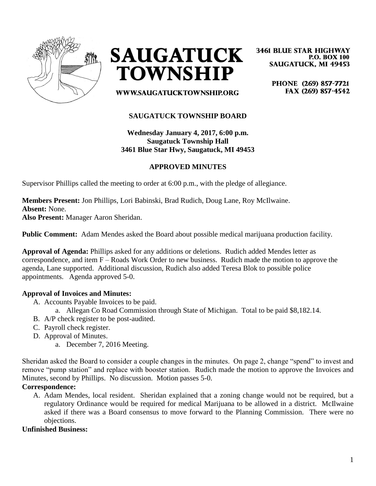



**3461 BLUE STAR HIGHWAY P.O. BOX 100 SAUGATUCK, MI 49453** 

> PHONE (269) 857-7721 FAX (269) 857-4542

WWW.SAUGATUCKTOWNSHIP.ORG

# **SAUGATUCK TOWNSHIP BOARD**

**Wednesday January 4, 2017, 6:00 p.m. Saugatuck Township Hall 3461 Blue Star Hwy, Saugatuck, MI 49453**

## **APPROVED MINUTES**

Supervisor Phillips called the meeting to order at 6:00 p.m., with the pledge of allegiance.

**Members Present:** Jon Phillips, Lori Babinski, Brad Rudich, Doug Lane, Roy McIlwaine. **Absent:** None.

**Also Present:** Manager Aaron Sheridan.

**Public Comment:** Adam Mendes asked the Board about possible medical marijuana production facility.

**Approval of Agenda:** Phillips asked for any additions or deletions. Rudich added Mendes letter as correspondence, and item F – Roads Work Order to new business. Rudich made the motion to approve the agenda, Lane supported. Additional discussion, Rudich also added Teresa Blok to possible police appointments. Agenda approved 5-0.

### **Approval of Invoices and Minutes:**

- A. Accounts Payable Invoices to be paid.
	- a. Allegan Co Road Commission through State of Michigan. Total to be paid \$8,182.14.
- B. A/P check register to be post-audited.
- C. Payroll check register.
- D. Approval of Minutes.
	- a. December 7, 2016 Meeting.

Sheridan asked the Board to consider a couple changes in the minutes. On page 2, change "spend" to invest and remove "pump station" and replace with booster station. Rudich made the motion to approve the Invoices and Minutes, second by Phillips. No discussion. Motion passes 5-0.

### **Correspondence:**

A. Adam Mendes, local resident. Sheridan explained that a zoning change would not be required, but a regulatory Ordinance would be required for medical Marijuana to be allowed in a district. McIlwaine asked if there was a Board consensus to move forward to the Planning Commission. There were no objections.

### **Unfinished Business:**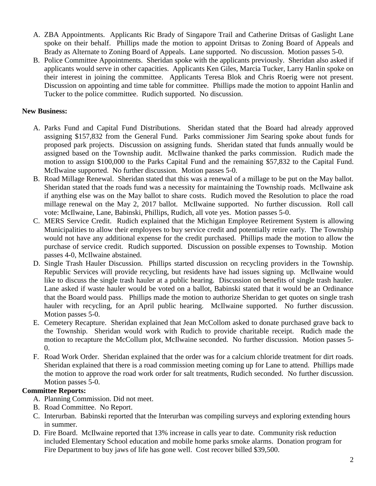- A. ZBA Appointments. Applicants Ric Brady of Singapore Trail and Catherine Dritsas of Gaslight Lane spoke on their behalf. Phillips made the motion to appoint Dritsas to Zoning Board of Appeals and Brady as Alternate to Zoning Board of Appeals. Lane supported. No discussion. Motion passes 5-0.
- B. Police Committee Appointments. Sheridan spoke with the applicants previously. Sheridan also asked if applicants would serve in other capacities. Applicants Ken Giles, Marcia Tucker, Larry Hanlin spoke on their interest in joining the committee. Applicants Teresa Blok and Chris Roerig were not present. Discussion on appointing and time table for committee. Phillips made the motion to appoint Hanlin and Tucker to the police committee. Rudich supported. No discussion.

## **New Business:**

- A. Parks Fund and Capital Fund Distributions. Sheridan stated that the Board had already approved assigning \$157,832 from the General Fund. Parks commissioner Jim Searing spoke about funds for proposed park projects. Discussion on assigning funds. Sheridan stated that funds annually would be assigned based on the Township audit. McIlwaine thanked the parks commission. Rudich made the motion to assign \$100,000 to the Parks Capital Fund and the remaining \$57,832 to the Capital Fund. McIlwaine supported. No further discussion. Motion passes 5-0.
- B. Road Millage Renewal. Sheridan stated that this was a renewal of a millage to be put on the May ballot. Sheridan stated that the roads fund was a necessity for maintaining the Township roads. McIlwaine ask if anything else was on the May ballot to share costs. Rudich moved the Resolution to place the road millage renewal on the May 2, 2017 ballot. McIlwaine supported. No further discussion. Roll call vote: McIlwaine, Lane, Babinski, Phillips, Rudich, all vote yes. Motion passes 5-0.
- C. MERS Service Credit. Rudich explained that the Michigan Employee Retirement System is allowing Municipalities to allow their employees to buy service credit and potentially retire early. The Township would not have any additional expense for the credit purchased. Phillips made the motion to allow the purchase of service credit. Rudich supported. Discussion on possible expenses to Township. Motion passes 4-0, McIlwaine abstained.
- D. Single Trash Hauler Discussion. Phillips started discussion on recycling providers in the Township. Republic Services will provide recycling, but residents have had issues signing up. McIlwaine would like to discuss the single trash hauler at a public hearing. Discussion on benefits of single trash hauler. Lane asked if waste hauler would be voted on a ballot, Babinski stated that it would be an Ordinance that the Board would pass. Phillips made the motion to authorize Sheridan to get quotes on single trash hauler with recycling, for an April public hearing. McIlwaine supported. No further discussion. Motion passes 5-0.
- E. Cemetery Recapture. Sheridan explained that Jean McCollom asked to donate purchased grave back to the Township. Sheridan would work with Rudich to provide charitable receipt. Rudich made the motion to recapture the McCollum plot, McIlwaine seconded. No further discussion. Motion passes 5- 0.
- F. Road Work Order. Sheridan explained that the order was for a calcium chloride treatment for dirt roads. Sheridan explained that there is a road commission meeting coming up for Lane to attend. Phillips made the motion to approve the road work order for salt treatments, Rudich seconded. No further discussion. Motion passes 5-0.

### **Committee Reports:**

- A. Planning Commission. Did not meet.
- B. Road Committee. No Report.
- C. Interurban. Babinski reported that the Interurban was compiling surveys and exploring extending hours in summer.
- D. Fire Board. McIlwaine reported that 13% increase in calls year to date. Community risk reduction included Elementary School education and mobile home parks smoke alarms. Donation program for Fire Department to buy jaws of life has gone well. Cost recover billed \$39,500.